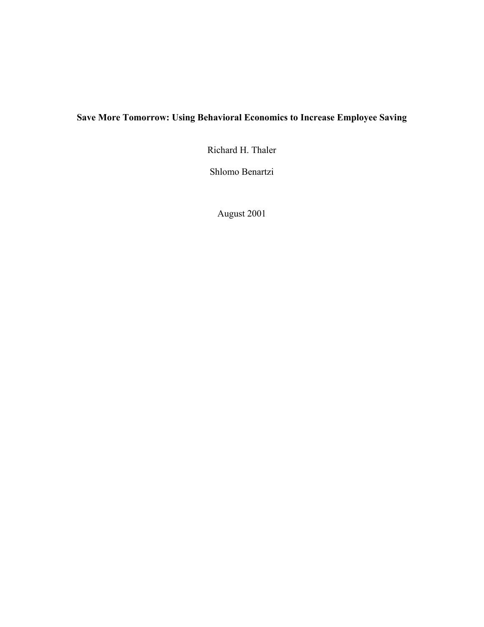# **Save More Tomorrow: Using Behavioral Economics to Increase Employee Saving**

Richard H. Thaler

Shlomo Benartzi

August 2001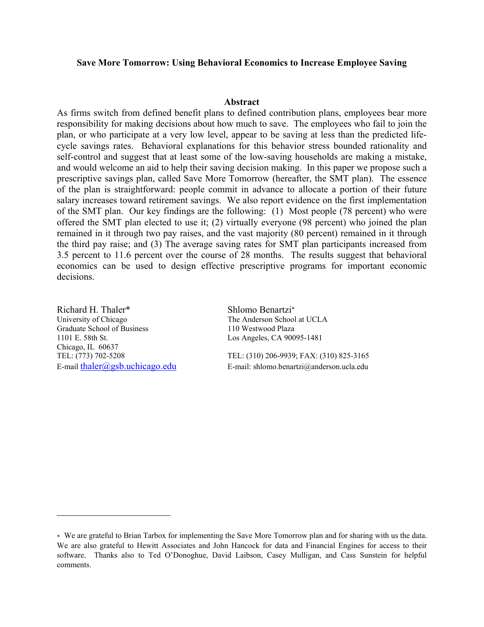#### **Save More Tomorrow: Using Behavioral Economics to Increase Employee Saving**

#### **Abstract**

As firms switch from defined benefit plans to defined contribution plans, employees bear more responsibility for making decisions about how much to save. The employees who fail to join the plan, or who participate at a very low level, appear to be saving at less than the predicted lifecycle savings rates. Behavioral explanations for this behavior stress bounded rationality and self-control and suggest that at least some of the low-saving households are making a mistake, and would welcome an aid to help their saving decision making. In this paper we propose such a prescriptive savings plan, called Save More Tomorrow (hereafter, the SMT plan). The essence of the plan is straightforward: people commit in advance to allocate a portion of their future salary increases toward retirement savings. We also report evidence on the first implementation of the SMT plan. Our key findings are the following: (1) Most people (78 percent) who were offered the SMT plan elected to use it; (2) virtually everyone (98 percent) who joined the plan remained in it through two pay raises, and the vast majority (80 percent) remained in it through the third pay raise; and (3) The average saving rates for SMT plan participants increased from 3.5 percent to 11.6 percent over the course of 28 months. The results suggest that behavioral economics can be used to design effective prescriptive programs for important economic decisions.

Richard H. Thaler\* Shlomo Benartzi\* University of Chicago The Anderson School at UCLA Graduate School of Business 110 Westwood Plaza 1101 E. 58th St. Los Angeles, CA 90095-1481 Chicago, IL 60637

 $\overline{a}$ 

TEL: (773) 702-5208 TEL: (310) 206-9939; FAX: (310) 825-3165 E-mail:  $\text{thaler}(\partial \text{gsb}.uchicago.edu)$  E-mail: shlomo.benartzi $\partial \text{g}$ anderson.ucla.edu

<span id="page-1-0"></span><sup>∗</sup> We are grateful to Brian Tarbox for implementing the Save More Tomorrow plan and for sharing with us the data. We are also grateful to Hewitt Associates and John Hancock for data and Financial Engines for access to their software. Thanks also to Ted O'Donoghue, David Laibson, Casey Mulligan, and Cass Sunstein for helpful comments.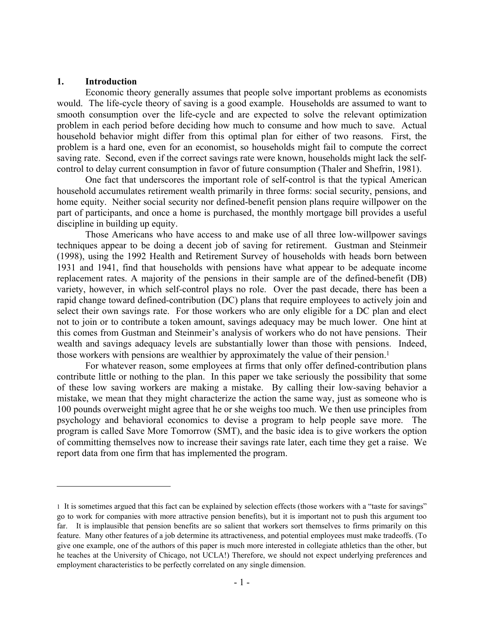#### **1. Introduction**

1

Economic theory generally assumes that people solve important problems as economists would. The life-cycle theory of saving is a good example. Households are assumed to want to smooth consumption over the life-cycle and are expected to solve the relevant optimization problem in each period before deciding how much to consume and how much to save. Actual household behavior might differ from this optimal plan for either of two reasons. First, the problem is a hard one, even for an economist, so households might fail to compute the correct saving rate. Second, even if the correct savings rate were known, households might lack the selfcontrol to delay current consumption in favor of future consumption (Thaler and Shefrin, 1981).

One fact that underscores the important role of self-control is that the typical American household accumulates retirement wealth primarily in three forms: social security, pensions, and home equity. Neither social security nor defined-benefit pension plans require willpower on the part of participants, and once a home is purchased, the monthly mortgage bill provides a useful discipline in building up equity.

Those Americans who have access to and make use of all three low-willpower savings techniques appear to be doing a decent job of saving for retirement. Gustman and Steinmeir (1998), using the 1992 Health and Retirement Survey of households with heads born between 1931 and 1941, find that households with pensions have what appear to be adequate income replacement rates. A majority of the pensions in their sample are of the defined-benefit (DB) variety, however, in which self-control plays no role. Over the past decade, there has been a rapid change toward defined-contribution (DC) plans that require employees to actively join and select their own savings rate. For those workers who are only eligible for a DC plan and elect not to join or to contribute a token amount, savings adequacy may be much lower. One hint at this comes from Gustman and Steinmeir's analysis of workers who do not have pensions. Their wealth and savings adequacy levels are substantially lower than those with pensions. Indeed, those workers with pensions are wealthier by approximately the value of their pension.[1](#page-2-0)

For whatever reason, some employees at firms that only offer defined-contribution plans contribute little or nothing to the plan. In this paper we take seriously the possibility that some of these low saving workers are making a mistake. By calling their low-saving behavior a mistake, we mean that they might characterize the action the same way, just as someone who is 100 pounds overweight might agree that he or she weighs too much. We then use principles from psychology and behavioral economics to devise a program to help people save more. The program is called Save More Tomorrow (SMT), and the basic idea is to give workers the option of committing themselves now to increase their savings rate later, each time they get a raise. We report data from one firm that has implemented the program.

<span id="page-2-0"></span><sup>1</sup> It is sometimes argued that this fact can be explained by selection effects (those workers with a "taste for savings" go to work for companies with more attractive pension benefits), but it is important not to push this argument too far. It is implausible that pension benefits are so salient that workers sort themselves to firms primarily on this feature. Many other features of a job determine its attractiveness, and potential employees must make tradeoffs. (To give one example, one of the authors of this paper is much more interested in collegiate athletics than the other, but he teaches at the University of Chicago, not UCLA!) Therefore, we should not expect underlying preferences and employment characteristics to be perfectly correlated on any single dimension.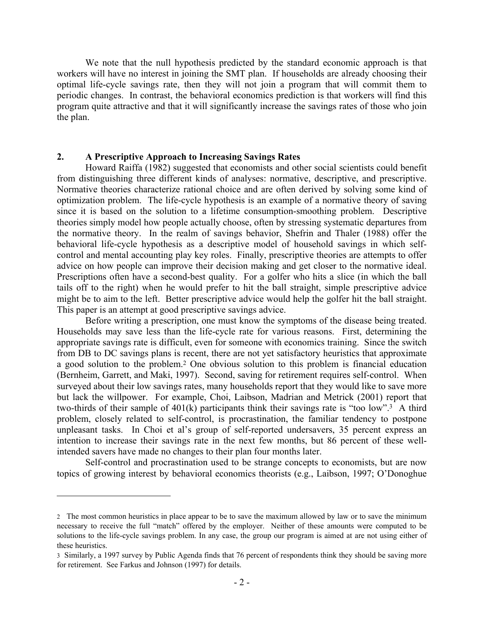We note that the null hypothesis predicted by the standard economic approach is that workers will have no interest in joining the SMT plan. If households are already choosing their optimal life-cycle savings rate, then they will not join a program that will commit them to periodic changes. In contrast, the behavioral economics prediction is that workers will find this program quite attractive and that it will significantly increase the savings rates of those who join the plan.

## **2. A Prescriptive Approach to Increasing Savings Rates**

1

Howard Raiffa (1982) suggested that economists and other social scientists could benefit from distinguishing three different kinds of analyses: normative, descriptive, and prescriptive. Normative theories characterize rational choice and are often derived by solving some kind of optimization problem. The life-cycle hypothesis is an example of a normative theory of saving since it is based on the solution to a lifetime consumption-smoothing problem. Descriptive theories simply model how people actually choose, often by stressing systematic departures from the normative theory. In the realm of savings behavior, Shefrin and Thaler (1988) offer the behavioral life-cycle hypothesis as a descriptive model of household savings in which selfcontrol and mental accounting play key roles. Finally, prescriptive theories are attempts to offer advice on how people can improve their decision making and get closer to the normative ideal. Prescriptions often have a second-best quality. For a golfer who hits a slice (in which the ball tails off to the right) when he would prefer to hit the ball straight, simple prescriptive advice might be to aim to the left. Better prescriptive advice would help the golfer hit the ball straight. This paper is an attempt at good prescriptive savings advice.

Before writing a prescription, one must know the symptoms of the disease being treated. Households may save less than the life-cycle rate for various reasons. First, determining the appropriate savings rate is difficult, even for someone with economics training. Since the switch from DB to DC savings plans is recent, there are not yet satisfactory heuristics that approximate a good solution to the problem. [2](#page-3-0) One obvious solution to this problem is financial education (Bernheim, Garrett, and Maki, 1997). Second, saving for retirement requires self-control. When surveyed about their low savings rates, many households report that they would like to save more but lack the willpower. For example, Choi, Laibson, Madrian and Metrick (2001) report that two-thirds of their sample of  $401(k)$  participants think their savings rate is "too low".<sup>3</sup> A third problem, closely related to self-control, is procrastination, the familiar tendency to postpone unpleasant tasks. In Choi et al's group of self-reported undersavers, 35 percent express an intention to increase their savings rate in the next few months, but 86 percent of these wellintended savers have made no changes to their plan four months later.

Self-control and procrastination used to be strange concepts to economists, but are now topics of growing interest by behavioral economics theorists (e.g., Laibson, 1997; O'Donoghue

<span id="page-3-0"></span><sup>2</sup> The most common heuristics in place appear to be to save the maximum allowed by law or to save the minimum necessary to receive the full "match" offered by the employer. Neither of these amounts were computed to be solutions to the life-cycle savings problem. In any case, the group our program is aimed at are not using either of these heuristics.

<span id="page-3-1"></span><sup>3</sup> Similarly, a 1997 survey by Public Agenda finds that 76 percent of respondents think they should be saving more for retirement. See Farkus and Johnson (1997) for details.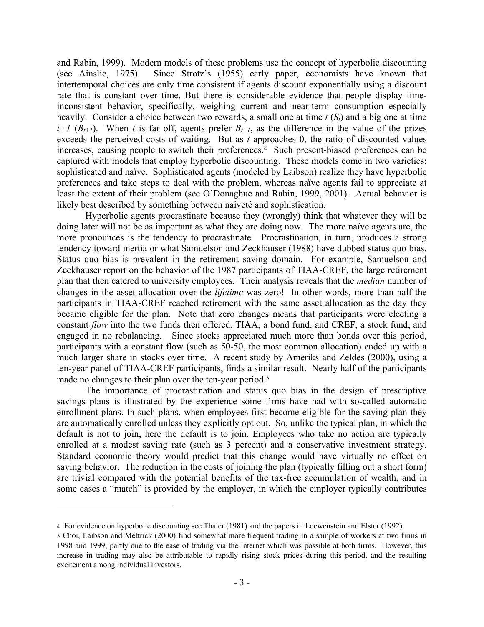and Rabin, 1999). Modern models of these problems use the concept of hyperbolic discounting (see Ainslie, 1975). Since Strotz's (1955) early paper, economists have known that intertemporal choices are only time consistent if agents discount exponentially using a discount rate that is constant over time. But there is considerable evidence that people display timeinconsistent behavior, specifically, weighing current and near-term consumption especially heavily. Consider a choice between two rewards, a small one at time *t* (*St*) and a big one at time  $t+1$  ( $B_{t+1}$ ). When *t* is far off, agents prefer  $B_{t+1}$ , as the difference in the value of the prizes exceeds the perceived costs of waiting. But as *t* approaches 0, the ratio of discounted values increases, causing people to switch their preferences.<sup>4</sup> Such present-biased preferences can be captured with models that employ hyperbolic discounting. These models come in two varieties: sophisticated and naïve. Sophisticated agents (modeled by Laibson) realize they have hyperbolic preferences and take steps to deal with the problem, whereas naïve agents fail to appreciate at least the extent of their problem (see O'Donaghue and Rabin, 1999, 2001). Actual behavior is likely best described by something between naiveté and sophistication.

Hyperbolic agents procrastinate because they (wrongly) think that whatever they will be doing later will not be as important as what they are doing now. The more naïve agents are, the more pronounces is the tendency to procrastinate. Procrastination, in turn, produces a strong tendency toward inertia or what Samuelson and Zeckhauser (1988) have dubbed status quo bias. Status quo bias is prevalent in the retirement saving domain. For example, Samuelson and Zeckhauser report on the behavior of the 1987 participants of TIAA-CREF, the large retirement plan that then catered to university employees. Their analysis reveals that the *median* number of changes in the asset allocation over the *lifetime* was zero! In other words, more than half the participants in TIAA-CREF reached retirement with the same asset allocation as the day they became eligible for the plan. Note that zero changes means that participants were electing a constant *flow* into the two funds then offered, TIAA, a bond fund, and CREF, a stock fund, and engaged in no rebalancing. Since stocks appreciated much more than bonds over this period, participants with a constant flow (such as 50-50, the most common allocation) ended up with a much larger share in stocks over time. A recent study by Ameriks and Zeldes (2000), using a ten-year panel of TIAA-CREF participants, finds a similar result. Nearly half of the participants made no changes to their plan over the ten-year period.<sup>[5](#page-4-1)</sup>

The importance of procrastination and status quo bias in the design of prescriptive savings plans is illustrated by the experience some firms have had with so-called automatic enrollment plans. In such plans, when employees first become eligible for the saving plan they are automatically enrolled unless they explicitly opt out. So, unlike the typical plan, in which the default is not to join, here the default is to join. Employees who take no action are typically enrolled at a modest saving rate (such as 3 percent) and a conservative investment strategy. Standard economic theory would predict that this change would have virtually no effect on saving behavior. The reduction in the costs of joining the plan (typically filling out a short form) are trivial compared with the potential benefits of the tax-free accumulation of wealth, and in some cases a "match" is provided by the employer, in which the employer typically contributes

1

<span id="page-4-0"></span><sup>4</sup> For evidence on hyperbolic discounting see Thaler (1981) and the papers in Loewenstein and Elster (1992).

<span id="page-4-1"></span><sup>5</sup> Choi, Laibson and Mettrick (2000) find somewhat more frequent trading in a sample of workers at two firms in 1998 and 1999, partly due to the ease of trading via the internet which was possible at both firms. However, this increase in trading may also be attributable to rapidly rising stock prices during this period, and the resulting excitement among individual investors.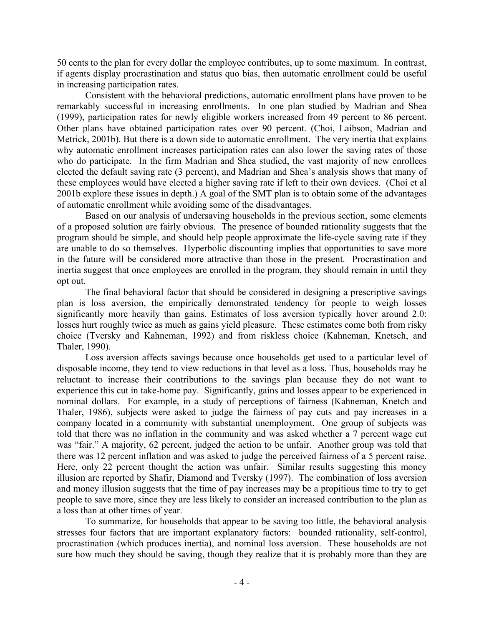50 cents to the plan for every dollar the employee contributes, up to some maximum. In contrast, if agents display procrastination and status quo bias, then automatic enrollment could be useful in increasing participation rates.

Consistent with the behavioral predictions, automatic enrollment plans have proven to be remarkably successful in increasing enrollments. In one plan studied by Madrian and Shea (1999), participation rates for newly eligible workers increased from 49 percent to 86 percent. Other plans have obtained participation rates over 90 percent. (Choi, Laibson, Madrian and Metrick, 2001b). But there is a down side to automatic enrollment. The very inertia that explains why automatic enrollment increases participation rates can also lower the saving rates of those who do participate. In the firm Madrian and Shea studied, the vast majority of new enrollees elected the default saving rate (3 percent), and Madrian and Shea's analysis shows that many of these employees would have elected a higher saving rate if left to their own devices. (Choi et al 2001b explore these issues in depth.) A goal of the SMT plan is to obtain some of the advantages of automatic enrollment while avoiding some of the disadvantages.

Based on our analysis of undersaving households in the previous section, some elements of a proposed solution are fairly obvious. The presence of bounded rationality suggests that the program should be simple, and should help people approximate the life-cycle saving rate if they are unable to do so themselves. Hyperbolic discounting implies that opportunities to save more in the future will be considered more attractive than those in the present. Procrastination and inertia suggest that once employees are enrolled in the program, they should remain in until they opt out.

The final behavioral factor that should be considered in designing a prescriptive savings plan is loss aversion, the empirically demonstrated tendency for people to weigh losses significantly more heavily than gains. Estimates of loss aversion typically hover around 2.0: losses hurt roughly twice as much as gains yield pleasure. These estimates come both from risky choice (Tversky and Kahneman, 1992) and from riskless choice (Kahneman, Knetsch, and Thaler, 1990).

Loss aversion affects savings because once households get used to a particular level of disposable income, they tend to view reductions in that level as a loss. Thus, households may be reluctant to increase their contributions to the savings plan because they do not want to experience this cut in take-home pay. Significantly, gains and losses appear to be experienced in nominal dollars. For example, in a study of perceptions of fairness (Kahneman, Knetch and Thaler, 1986), subjects were asked to judge the fairness of pay cuts and pay increases in a company located in a community with substantial unemployment. One group of subjects was told that there was no inflation in the community and was asked whether a 7 percent wage cut was "fair." A majority, 62 percent, judged the action to be unfair. Another group was told that there was 12 percent inflation and was asked to judge the perceived fairness of a 5 percent raise. Here, only 22 percent thought the action was unfair. Similar results suggesting this money illusion are reported by Shafir, Diamond and Tversky (1997). The combination of loss aversion and money illusion suggests that the time of pay increases may be a propitious time to try to get people to save more, since they are less likely to consider an increased contribution to the plan as a loss than at other times of year.

To summarize, for households that appear to be saving too little, the behavioral analysis stresses four factors that are important explanatory factors: bounded rationality, self-control, procrastination (which produces inertia), and nominal loss aversion. These households are not sure how much they should be saving, though they realize that it is probably more than they are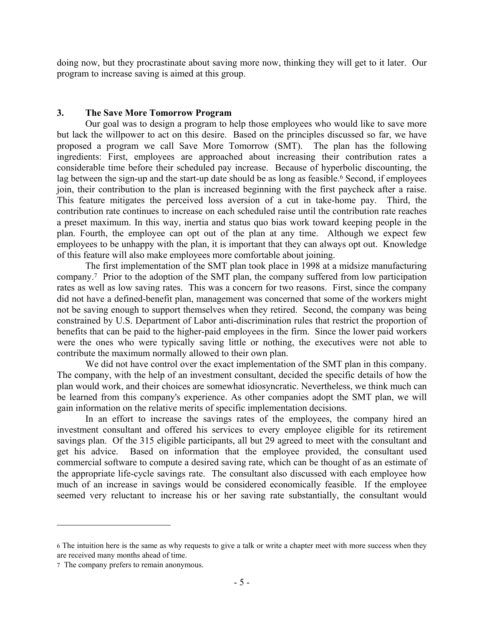doing now, but they procrastinate about saving more now, thinking they will get to it later. Our program to increase saving is aimed at this group.

## **3. The Save More Tomorrow Program**

Our goal was to design a program to help those employees who would like to save more but lack the willpower to act on this desire. Based on the principles discussed so far, we have proposed a program we call Save More Tomorrow (SMT). The plan has the following ingredients: First, employees are approached about increasing their contribution rates a considerable time before their scheduled pay increase. Because of hyperbolic discounting, the lag between the sign-up and the start-up date should be as long as feasible.<sup>6</sup> Second, if employees join, their contribution to the plan is increased beginning with the first paycheck after a raise. This feature mitigates the perceived loss aversion of a cut in take-home pay. Third, the contribution rate continues to increase on each scheduled raise until the contribution rate reaches a preset maximum. In this way, inertia and status quo bias work toward keeping people in the plan. Fourth, the employee can opt out of the plan at any time. Although we expect few employees to be unhappy with the plan, it is important that they can always opt out. Knowledge of this feature will also make employees more comfortable about joining.

The first implementation of the SMT plan took place in 1998 at a midsize manufacturing company.[7](#page-6-1) Prior to the adoption of the SMT plan, the company suffered from low participation rates as well as low saving rates. This was a concern for two reasons. First, since the company did not have a defined-benefit plan, management was concerned that some of the workers might not be saving enough to support themselves when they retired. Second, the company was being constrained by U.S. Department of Labor anti-discrimination rules that restrict the proportion of benefits that can be paid to the higher-paid employees in the firm. Since the lower paid workers were the ones who were typically saving little or nothing, the executives were not able to contribute the maximum normally allowed to their own plan.

We did not have control over the exact implementation of the SMT plan in this company. The company, with the help of an investment consultant, decided the specific details of how the plan would work, and their choices are somewhat idiosyncratic. Nevertheless, we think much can be learned from this company's experience. As other companies adopt the SMT plan, we will gain information on the relative merits of specific implementation decisions.

In an effort to increase the savings rates of the employees, the company hired an investment consultant and offered his services to every employee eligible for its retirement savings plan. Of the 315 eligible participants, all but 29 agreed to meet with the consultant and get his advice. Based on information that the employee provided, the consultant used commercial software to compute a desired saving rate, which can be thought of as an estimate of the appropriate life-cycle savings rate. The consultant also discussed with each employee how much of an increase in savings would be considered economically feasible. If the employee seemed very reluctant to increase his or her saving rate substantially, the consultant would

 $\overline{a}$ 

<span id="page-6-0"></span><sup>6</sup> The intuition here is the same as why requests to give a talk or write a chapter meet with more success when they are received many months ahead of time.

<span id="page-6-1"></span><sup>7</sup> The company prefers to remain anonymous.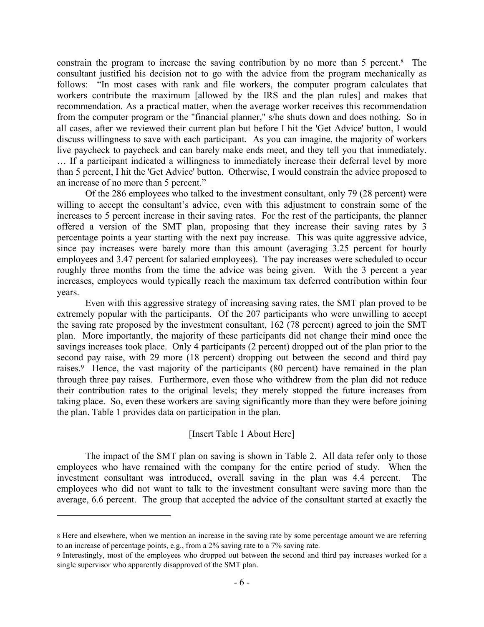constrain the program to increase the saving contribution by no more than 5 percent.[8](#page-7-0) The consultant justified his decision not to go with the advice from the program mechanically as follows: "In most cases with rank and file workers, the computer program calculates that workers contribute the maximum [allowed by the IRS and the plan rules] and makes that recommendation. As a practical matter, when the average worker receives this recommendation from the computer program or the "financial planner," s/he shuts down and does nothing. So in all cases, after we reviewed their current plan but before I hit the 'Get Advice' button, I would discuss willingness to save with each participant. As you can imagine, the majority of workers live paycheck to paycheck and can barely make ends meet, and they tell you that immediately.

… If a participant indicated a willingness to immediately increase their deferral level by more than 5 percent, I hit the 'Get Advice' button. Otherwise, I would constrain the advice proposed to an increase of no more than 5 percent."

Of the 286 employees who talked to the investment consultant, only 79 (28 percent) were willing to accept the consultant's advice, even with this adjustment to constrain some of the increases to 5 percent increase in their saving rates. For the rest of the participants, the planner offered a version of the SMT plan, proposing that they increase their saving rates by 3 percentage points a year starting with the next pay increase. This was quite aggressive advice, since pay increases were barely more than this amount (averaging 3.25 percent for hourly employees and 3.47 percent for salaried employees). The pay increases were scheduled to occur roughly three months from the time the advice was being given. With the 3 percent a year increases, employees would typically reach the maximum tax deferred contribution within four years.

Even with this aggressive strategy of increasing saving rates, the SMT plan proved to be extremely popular with the participants. Of the 207 participants who were unwilling to accept the saving rate proposed by the investment consultant, 162 (78 percent) agreed to join the SMT plan. More importantly, the majority of these participants did not change their mind once the savings increases took place. Only 4 participants (2 percent) dropped out of the plan prior to the second pay raise, with 29 more (18 percent) dropping out between the second and third pay raises. [9](#page-7-1) Hence, the vast majority of the participants (80 percent) have remained in the plan through three pay raises. Furthermore, even those who withdrew from the plan did not reduce their contribution rates to the original levels; they merely stopped the future increases from taking place. So, even these workers are saving significantly more than they were before joining the plan. Table 1 provides data on participation in the plan.

## [Insert Table 1 About Here]

The impact of the SMT plan on saving is shown in Table 2. All data refer only to those employees who have remained with the company for the entire period of study. When the investment consultant was introduced, overall saving in the plan was 4.4 percent. The employees who did not want to talk to the investment consultant were saving more than the average, 6.6 percent. The group that accepted the advice of the consultant started at exactly the

 $\overline{a}$ 

<span id="page-7-0"></span><sup>8</sup> Here and elsewhere, when we mention an increase in the saving rate by some percentage amount we are referring to an increase of percentage points, e.g., from a 2% saving rate to a 7% saving rate.

<span id="page-7-1"></span><sup>9</sup> Interestingly, most of the employees who dropped out between the second and third pay increases worked for a single supervisor who apparently disapproved of the SMT plan.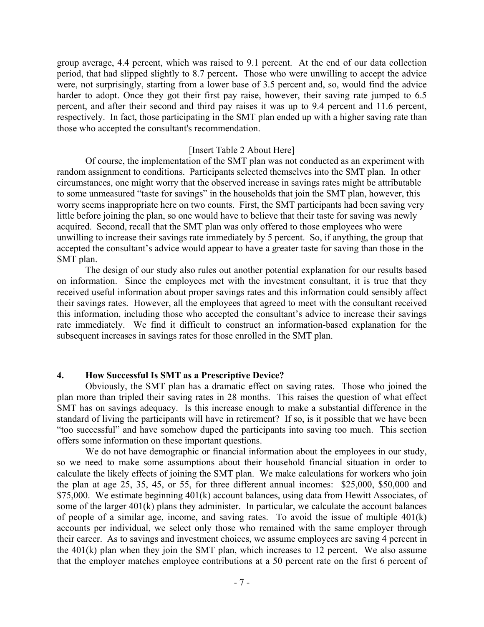group average, 4.4 percent, which was raised to 9.1 percent. At the end of our data collection period, that had slipped slightly to 8.7 percent**.** Those who were unwilling to accept the advice were, not surprisingly, starting from a lower base of 3.5 percent and, so, would find the advice harder to adopt. Once they got their first pay raise, however, their saving rate jumped to 6.5 percent, and after their second and third pay raises it was up to 9.4 percent and 11.6 percent, respectively. In fact, those participating in the SMT plan ended up with a higher saving rate than those who accepted the consultant's recommendation.

#### [Insert Table 2 About Here]

Of course, the implementation of the SMT plan was not conducted as an experiment with random assignment to conditions. Participants selected themselves into the SMT plan. In other circumstances, one might worry that the observed increase in savings rates might be attributable to some unmeasured "taste for savings" in the households that join the SMT plan, however, this worry seems inappropriate here on two counts. First, the SMT participants had been saving very little before joining the plan, so one would have to believe that their taste for saving was newly acquired. Second, recall that the SMT plan was only offered to those employees who were unwilling to increase their savings rate immediately by 5 percent. So, if anything, the group that accepted the consultant's advice would appear to have a greater taste for saving than those in the SMT plan.

The design of our study also rules out another potential explanation for our results based on information. Since the employees met with the investment consultant, it is true that they received useful information about proper savings rates and this information could sensibly affect their savings rates. However, all the employees that agreed to meet with the consultant received this information, including those who accepted the consultant's advice to increase their savings rate immediately. We find it difficult to construct an information-based explanation for the subsequent increases in savings rates for those enrolled in the SMT plan.

### **4. How Successful Is SMT as a Prescriptive Device?**

Obviously, the SMT plan has a dramatic effect on saving rates. Those who joined the plan more than tripled their saving rates in 28 months. This raises the question of what effect SMT has on savings adequacy. Is this increase enough to make a substantial difference in the standard of living the participants will have in retirement? If so, is it possible that we have been "too successful" and have somehow duped the participants into saving too much. This section offers some information on these important questions.

We do not have demographic or financial information about the employees in our study, so we need to make some assumptions about their household financial situation in order to calculate the likely effects of joining the SMT plan. We make calculations for workers who join the plan at age 25, 35, 45, or 55, for three different annual incomes: \$25,000, \$50,000 and \$75,000. We estimate beginning 401(k) account balances, using data from Hewitt Associates, of some of the larger 401(k) plans they administer. In particular, we calculate the account balances of people of a similar age, income, and saving rates. To avoid the issue of multiple 401(k) accounts per individual, we select only those who remained with the same employer through their career. As to savings and investment choices, we assume employees are saving 4 percent in the 401(k) plan when they join the SMT plan, which increases to 12 percent. We also assume that the employer matches employee contributions at a 50 percent rate on the first 6 percent of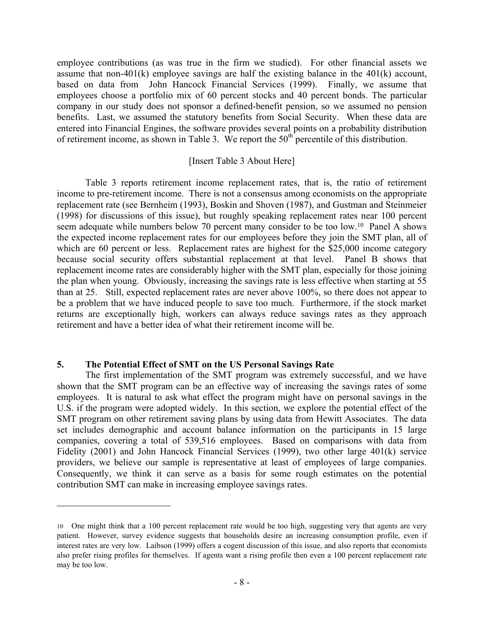employee contributions (as was true in the firm we studied). For other financial assets we assume that non-401(k) employee savings are half the existing balance in the 401(k) account, based on data from John Hancock Financial Services (1999). Finally, we assume that employees choose a portfolio mix of 60 percent stocks and 40 percent bonds. The particular company in our study does not sponsor a defined-benefit pension, so we assumed no pension benefits. Last, we assumed the statutory benefits from Social Security. When these data are entered into Financial Engines, the software provides several points on a probability distribution of retirement income, as shown in Table 3. We report the  $50<sup>th</sup>$  percentile of this distribution.

### [Insert Table 3 About Here]

Table 3 reports retirement income replacement rates, that is, the ratio of retirement income to pre-retirement income. There is not a consensus among economists on the appropriate replacement rate (see Bernheim (1993), Boskin and Shoven (1987), and Gustman and Steinmeier (1998) for discussions of this issue), but roughly speaking replacement rates near 100 percent seem adequate while numbers below 70 percent many consider to be too low.<sup>10</sup> Panel A shows the expected income replacement rates for our employees before they join the SMT plan, all of which are 60 percent or less. Replacement rates are highest for the \$25,000 income category because social security offers substantial replacement at that level. Panel B shows that replacement income rates are considerably higher with the SMT plan, especially for those joining the plan when young. Obviously, increasing the savings rate is less effective when starting at 55 than at 25. Still, expected replacement rates are never above 100%, so there does not appear to be a problem that we have induced people to save too much. Furthermore, if the stock market returns are exceptionally high, workers can always reduce savings rates as they approach retirement and have a better idea of what their retirement income will be.

## **5. The Potential Effect of SMT on the US Personal Savings Rate**

 $\overline{a}$ 

The first implementation of the SMT program was extremely successful, and we have shown that the SMT program can be an effective way of increasing the savings rates of some employees. It is natural to ask what effect the program might have on personal savings in the U.S. if the program were adopted widely. In this section, we explore the potential effect of the SMT program on other retirement saving plans by using data from Hewitt Associates. The data set includes demographic and account balance information on the participants in 15 large companies, covering a total of 539,516 employees. Based on comparisons with data from Fidelity (2001) and John Hancock Financial Services (1999), two other large 401(k) service providers, we believe our sample is representative at least of employees of large companies. Consequently, we think it can serve as a basis for some rough estimates on the potential contribution SMT can make in increasing employee savings rates.

<span id="page-9-0"></span><sup>10</sup> One might think that a 100 percent replacement rate would be too high, suggesting very that agents are very patient. However, survey evidence suggests that households desire an increasing consumption profile, even if interest rates are very low. Laibson (1999) offers a cogent discussion of this issue, and also reports that economists also prefer rising profiles for themselves. If agents want a rising profile then even a 100 percent replacement rate may be too low.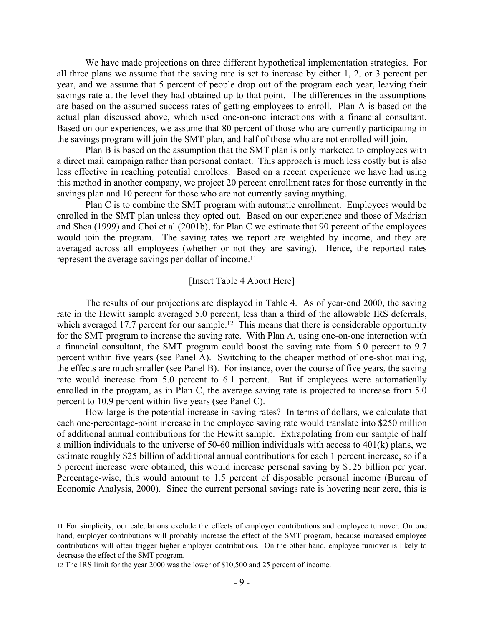We have made projections on three different hypothetical implementation strategies. For all three plans we assume that the saving rate is set to increase by either 1, 2, or 3 percent per year, and we assume that 5 percent of people drop out of the program each year, leaving their savings rate at the level they had obtained up to that point. The differences in the assumptions are based on the assumed success rates of getting employees to enroll. Plan A is based on the actual plan discussed above, which used one-on-one interactions with a financial consultant. Based on our experiences, we assume that 80 percent of those who are currently participating in the savings program will join the SMT plan, and half of those who are not enrolled will join.

Plan B is based on the assumption that the SMT plan is only marketed to employees with a direct mail campaign rather than personal contact. This approach is much less costly but is also less effective in reaching potential enrollees. Based on a recent experience we have had using this method in another company, we project 20 percent enrollment rates for those currently in the savings plan and 10 percent for those who are not currently saving anything.

Plan C is to combine the SMT program with automatic enrollment. Employees would be enrolled in the SMT plan unless they opted out. Based on our experience and those of Madrian and Shea (1999) and Choi et al (2001b), for Plan C we estimate that 90 percent of the employees would join the program. The saving rates we report are weighted by income, and they are averaged across all employees (whether or not they are saving). Hence, the reported rates represent the average savings per dollar of income. [11](#page-10-0)

#### [Insert Table 4 About Here]

The results of our projections are displayed in Table 4. As of year-end 2000, the saving rate in the Hewitt sample averaged 5.0 percent, less than a third of the allowable IRS deferrals, which averaged 17.7 percent for our sample.<sup>12</sup> This means that there is considerable opportunity for the SMT program to increase the saving rate. With Plan A, using one-on-one interaction with a financial consultant, the SMT program could boost the saving rate from 5.0 percent to 9.7 percent within five years (see Panel A). Switching to the cheaper method of one-shot mailing, the effects are much smaller (see Panel B). For instance, over the course of five years, the saving rate would increase from 5.0 percent to 6.1 percent. But if employees were automatically enrolled in the program, as in Plan C, the average saving rate is projected to increase from 5.0 percent to 10.9 percent within five years (see Panel C).

How large is the potential increase in saving rates? In terms of dollars, we calculate that each one-percentage-point increase in the employee saving rate would translate into \$250 million of additional annual contributions for the Hewitt sample. Extrapolating from our sample of half a million individuals to the universe of 50-60 million individuals with access to 401(k) plans, we estimate roughly \$25 billion of additional annual contributions for each 1 percent increase, so if a 5 percent increase were obtained, this would increase personal saving by \$125 billion per year. Percentage-wise, this would amount to 1.5 percent of disposable personal income (Bureau of Economic Analysis, 2000). Since the current personal savings rate is hovering near zero, this is

1

<span id="page-10-0"></span><sup>11</sup> For simplicity, our calculations exclude the effects of employer contributions and employee turnover. On one hand, employer contributions will probably increase the effect of the SMT program, because increased employee contributions will often trigger higher employer contributions. On the other hand, employee turnover is likely to decrease the effect of the SMT program.

<span id="page-10-1"></span><sup>12</sup> The IRS limit for the year 2000 was the lower of \$10,500 and 25 percent of income.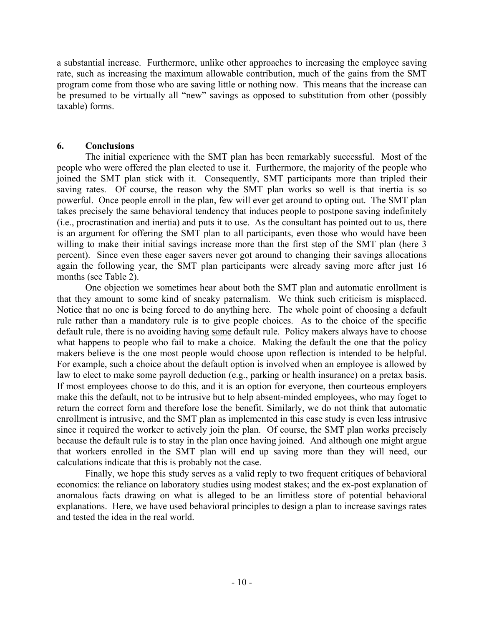a substantial increase. Furthermore, unlike other approaches to increasing the employee saving rate, such as increasing the maximum allowable contribution, much of the gains from the SMT program come from those who are saving little or nothing now. This means that the increase can be presumed to be virtually all "new" savings as opposed to substitution from other (possibly taxable) forms.

## **6. Conclusions**

The initial experience with the SMT plan has been remarkably successful. Most of the people who were offered the plan elected to use it. Furthermore, the majority of the people who joined the SMT plan stick with it. Consequently, SMT participants more than tripled their saving rates. Of course, the reason why the SMT plan works so well is that inertia is so powerful. Once people enroll in the plan, few will ever get around to opting out. The SMT plan takes precisely the same behavioral tendency that induces people to postpone saving indefinitely (i.e., procrastination and inertia) and puts it to use. As the consultant has pointed out to us, there is an argument for offering the SMT plan to all participants, even those who would have been willing to make their initial savings increase more than the first step of the SMT plan (here 3 percent). Since even these eager savers never got around to changing their savings allocations again the following year, the SMT plan participants were already saving more after just 16 months (see Table 2).

One objection we sometimes hear about both the SMT plan and automatic enrollment is that they amount to some kind of sneaky paternalism. We think such criticism is misplaced. Notice that no one is being forced to do anything here. The whole point of choosing a default rule rather than a mandatory rule is to give people choices. As to the choice of the specific default rule, there is no avoiding having some default rule. Policy makers always have to choose what happens to people who fail to make a choice. Making the default the one that the policy makers believe is the one most people would choose upon reflection is intended to be helpful. For example, such a choice about the default option is involved when an employee is allowed by law to elect to make some payroll deduction (e.g., parking or health insurance) on a pretax basis. If most employees choose to do this, and it is an option for everyone, then courteous employers make this the default, not to be intrusive but to help absent-minded employees, who may foget to return the correct form and therefore lose the benefit. Similarly, we do not think that automatic enrollment is intrusive, and the SMT plan as implemented in this case study is even less intrusive since it required the worker to actively join the plan. Of course, the SMT plan works precisely because the default rule is to stay in the plan once having joined. And although one might argue that workers enrolled in the SMT plan will end up saving more than they will need, our calculations indicate that this is probably not the case.

Finally, we hope this study serves as a valid reply to two frequent critiques of behavioral economics: the reliance on laboratory studies using modest stakes; and the ex-post explanation of anomalous facts drawing on what is alleged to be an limitless store of potential behavioral explanations. Here, we have used behavioral principles to design a plan to increase savings rates and tested the idea in the real world.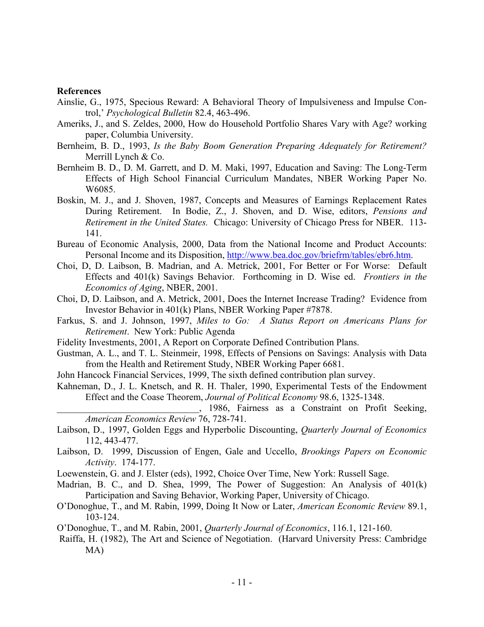#### **References**

- Ainslie, G., 1975, Specious Reward: A Behavioral Theory of Impulsiveness and Impulse Control,' *Psychological Bulletin* 82.4, 463-496.
- Ameriks, J., and S. Zeldes, 2000, How do Household Portfolio Shares Vary with Age? working paper, Columbia University.
- Bernheim, B. D., 1993, *Is the Baby Boom Generation Preparing Adequately for Retirement?*  Merrill Lynch & Co.
- Bernheim B. D., D. M. Garrett, and D. M. Maki, 1997, Education and Saving: The Long-Term Effects of High School Financial Curriculum Mandates, NBER Working Paper No. W6085.
- Boskin, M. J., and J. Shoven, 1987, Concepts and Measures of Earnings Replacement Rates During Retirement. In Bodie, Z., J. Shoven, and D. Wise, editors, *Pensions and Retirement in the United States.* Chicago: University of Chicago Press for NBER. 113- 141.
- Bureau of Economic Analysis, 2000, Data from the National Income and Product Accounts: Personal Income and its Disposition, [http://www.bea.doc.gov/briefrm/tables/ebr6.htm.](http://www.bea.doc.gov/briefrm/tables/ebr6.htm)
- Choi, D, D. Laibson, B. Madrian, and A. Metrick, 2001, For Better or For Worse: Default Effects and 401(k) Savings Behavior. Forthcoming in D. Wise ed. *Frontiers in the Economics of Aging*, NBER, 2001.
- Choi, D, D. Laibson, and A. Metrick, 2001, Does the Internet Increase Trading? Evidence from Investor Behavior in 401(k) Plans, NBER Working Paper #7878.
- Farkus, S. and J. Johnson, 1997, *Miles to Go: A Status Report on Americans Plans for Retirement*. New York: Public Agenda
- Fidelity Investments, 2001, A Report on Corporate Defined Contribution Plans.
- Gustman, A. L., and T. L. Steinmeir, 1998, Effects of Pensions on Savings: Analysis with Data from the Health and Retirement Study, NBER Working Paper 6681.
- John Hancock Financial Services, 1999, The sixth defined contribution plan survey.
- Kahneman, D., J. L. Knetsch, and R. H. Thaler, 1990, Experimental Tests of the Endowment Effect and the Coase Theorem, *Journal of Political Economy* 98.6, 1325-1348.

\_\_\_\_\_\_\_\_\_\_\_\_\_\_\_\_\_\_\_\_\_\_\_\_\_\_\_\_\_\_, 1986, Fairness as a Constraint on Profit Seeking, *American Economics Review* 76, 728-741.

- Laibson, D., 1997, Golden Eggs and Hyperbolic Discounting, *Quarterly Journal of Economics* 112, 443-477.
- Laibson, D. 1999, Discussion of Engen, Gale and Uccello, *Brookings Papers on Economic Activity*. 174-177.
- Loewenstein, G. and J. Elster (eds), 1992, Choice Over Time, New York: Russell Sage.
- Madrian, B. C., and D. Shea, 1999, The Power of Suggestion: An Analysis of 401(k) Participation and Saving Behavior, Working Paper, University of Chicago.
- O'Donoghue, T., and M. Rabin, 1999, Doing It Now or Later, *American Economic Review* 89.1, 103-124.
- O'Donoghue, T., and M. Rabin, 2001, *Quarterly Journal of Economics*, 116.1, 121-160.
- Raiffa, H. (1982), The Art and Science of Negotiation. (Harvard University Press: Cambridge MA)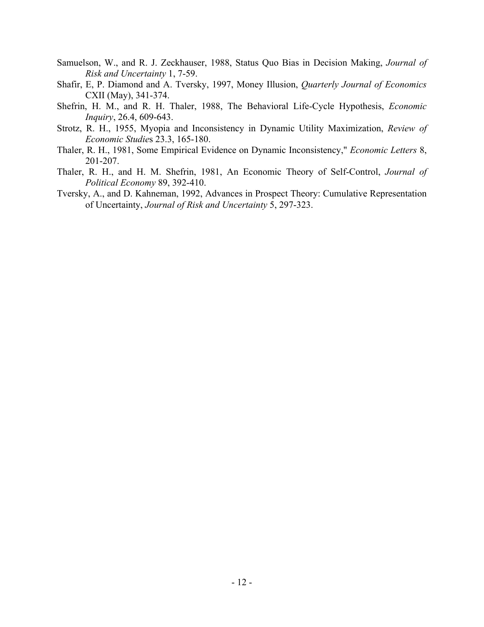- Samuelson, W., and R. J. Zeckhauser, 1988, Status Quo Bias in Decision Making, *Journal of Risk and Uncertainty* 1, 7-59.
- Shafir, E, P. Diamond and A. Tversky, 1997, Money Illusion, *Quarterly Journal of Economics* CXII (May), 341-374.
- Shefrin, H. M., and R. H. Thaler, 1988, The Behavioral Life-Cycle Hypothesis, *Economic Inquiry*, 26.4, 609-643.
- Strotz, R. H., 1955, Myopia and Inconsistency in Dynamic Utility Maximization, *Review of Economic Studie*s 23.3, 165-180.
- Thaler, R. H., 1981, Some Empirical Evidence on Dynamic Inconsistency," *Economic Letters* 8, 201-207.
- Thaler, R. H., and H. M. Shefrin, 1981, An Economic Theory of Self-Control, *Journal of Political Economy* 89, 392-410.
- Tversky, A., and D. Kahneman, 1992, Advances in Prospect Theory: Cumulative Representation of Uncertainty, *Journal of Risk and Uncertainty* 5, 297-323.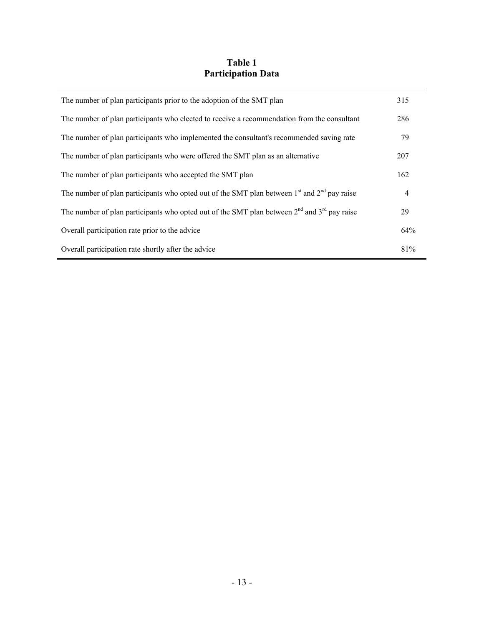## **Table 1 Participation Data**

| The number of plan participants prior to the adoption of the SMT plan                           |                |  |
|-------------------------------------------------------------------------------------------------|----------------|--|
| The number of plan participants who elected to receive a recommendation from the consultant     | 286            |  |
| The number of plan participants who implemented the consultant's recommended saving rate        | 79             |  |
| The number of plan participants who were offered the SMT plan as an alternative                 | 207            |  |
| The number of plan participants who accepted the SMT plan                                       | 162            |  |
| The number of plan participants who opted out of the SMT plan between $1st$ and $2nd$ pay raise | $\overline{4}$ |  |
| The number of plan participants who opted out of the SMT plan between $2nd$ and $3rd$ pay raise | 29             |  |
| Overall participation rate prior to the advice                                                  | 64%            |  |
| Overall participation rate shortly after the advice                                             | 81%            |  |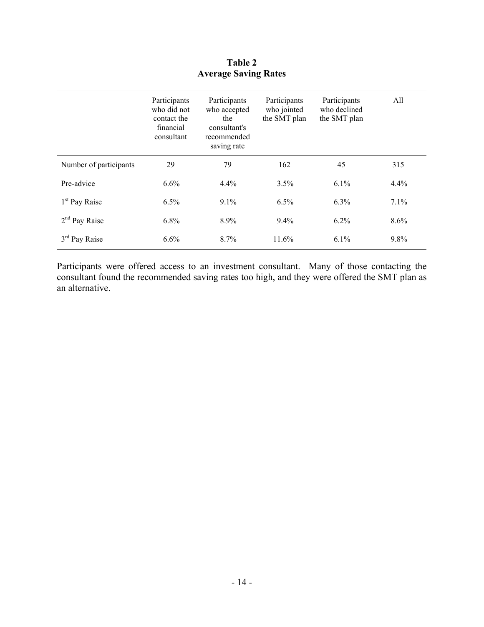|                           | Participants<br>who did not<br>contact the<br>financial<br>consultant | Participants<br>who accepted<br>the<br>consultant's<br>recommended<br>saving rate | Participants<br>who jointed<br>the SMT plan | Participants<br>who declined<br>the SMT plan | All     |
|---------------------------|-----------------------------------------------------------------------|-----------------------------------------------------------------------------------|---------------------------------------------|----------------------------------------------|---------|
| Number of participants    | 29                                                                    | 79                                                                                | 162                                         | 45                                           | 315     |
| Pre-advice                | 6.6%                                                                  | 4.4%                                                                              | 3.5%                                        | 6.1%                                         | 4.4%    |
| 1 <sup>st</sup> Pay Raise | 6.5%                                                                  | 9.1%                                                                              | 6.5%                                        | 6.3%                                         | 7.1%    |
| $2nd$ Pay Raise           | 6.8%                                                                  | 8.9%                                                                              | 9.4%                                        | 6.2%                                         | $8.6\%$ |
| 3 <sup>rd</sup> Pay Raise | 6.6%                                                                  | $8.7\%$                                                                           | 11.6%                                       | $6.1\%$                                      | 9.8%    |

**Table 2 Average Saving Rates** 

Participants were offered access to an investment consultant. Many of those contacting the consultant found the recommended saving rates too high, and they were offered the SMT plan as an alternative.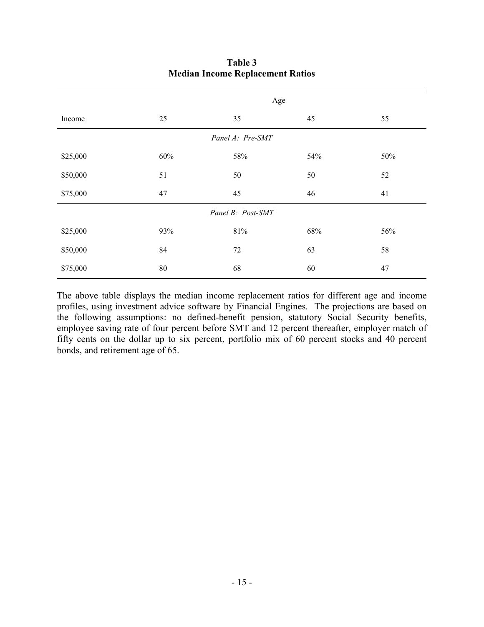|                   | Age    |        |     |     |  |  |
|-------------------|--------|--------|-----|-----|--|--|
| Income            | 25     | 35     | 45  | 55  |  |  |
| Panel A: Pre-SMT  |        |        |     |     |  |  |
| \$25,000          | 60%    | 58%    | 54% | 50% |  |  |
| \$50,000          | 51     | 50     | 50  | 52  |  |  |
| \$75,000          | 47     | 45     | 46  | 41  |  |  |
| Panel B: Post-SMT |        |        |     |     |  |  |
| \$25,000          | 93%    | $81\%$ | 68% | 56% |  |  |
| \$50,000          | 84     | 72     | 63  | 58  |  |  |
| \$75,000          | $80\,$ | 68     | 60  | 47  |  |  |

## **Table 3 Median Income Replacement Ratios**

The above table displays the median income replacement ratios for different age and income profiles, using investment advice software by Financial Engines. The projections are based on the following assumptions: no defined-benefit pension, statutory Social Security benefits, employee saving rate of four percent before SMT and 12 percent thereafter, employer match of fifty cents on the dollar up to six percent, portfolio mix of 60 percent stocks and 40 percent bonds, and retirement age of 65.